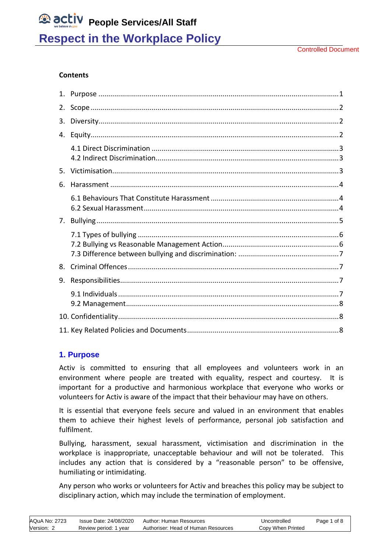#### **Contents**

| 2. |  |
|----|--|
| 3. |  |
| 4. |  |
|    |  |
| 5. |  |
| 6. |  |
|    |  |
| 7. |  |
|    |  |
|    |  |
| 8. |  |
| 9. |  |
|    |  |
|    |  |

### <span id="page-0-0"></span>**1. Purpose**

Activ is committed to ensuring that all employees and volunteers work in an environment where people are treated with equality, respect and courtesy. It is important for a productive and harmonious workplace that everyone who works or volunteers for Activ is aware of the impact that their behaviour may have on others.

It is essential that everyone feels secure and valued in an environment that enables them to achieve their highest levels of performance, personal job satisfaction and fulfilment.

Bullying, harassment, sexual harassment, victimisation and discrimination in the workplace is inappropriate, unacceptable behaviour and will not be tolerated. This includes any action that is considered by a "reasonable person" to be offensive, humiliating or intimidating.

<span id="page-0-1"></span>Any person who works or volunteers for Activ and breaches this policy may be subject to disciplinary action, which may include the termination of employment.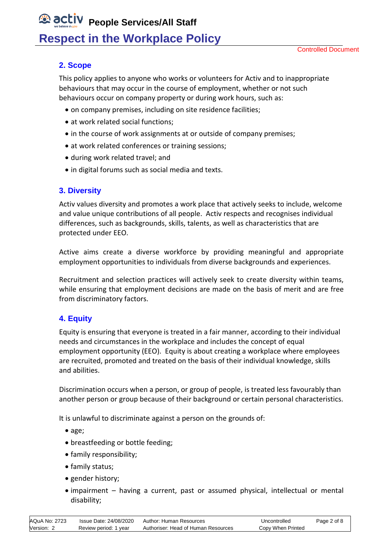## **2. Scope**

This policy applies to anyone who works or volunteers for Activ and to inappropriate behaviours that may occur in the course of employment, whether or not such behaviours occur on company property or during work hours, such as:

- on company premises, including on site residence facilities;
- at work related social functions:
- in the course of work assignments at or outside of company premises;
- at work related conferences or training sessions;
- during work related travel; and
- in digital forums such as social media and texts.

## <span id="page-1-0"></span>**3. Diversity**

Activ values diversity and promotes a work place that actively seeks to include, welcome and value unique contributions of all people. Activ respects and recognises individual differences, such as backgrounds, skills, talents, as well as characteristics that are protected under EEO.

Active aims create a diverse workforce by providing meaningful and appropriate employment opportunities to individuals from diverse backgrounds and experiences.

Recruitment and selection practices will actively seek to create diversity within teams, while ensuring that employment decisions are made on the basis of merit and are free from discriminatory factors.

## <span id="page-1-1"></span>**4. Equity**

Equity is ensuring that everyone is treated in a fair manner, according to their individual needs and circumstances in the workplace and includes the concept of equal employment opportunity (EEO). Equity is about creating a workplace where employees are recruited, promoted and treated on the basis of their individual knowledge, skills and abilities.

Discrimination occurs when a person, or group of people, is treated less favourably than another person or group because of their background or certain personal characteristics.

It is unlawful to discriminate against a person on the grounds of:

- age;
- breastfeeding or bottle feeding;
- family responsibility;
- family status;
- gender history;
- impairment having a current, past or assumed physical, intellectual or mental disability;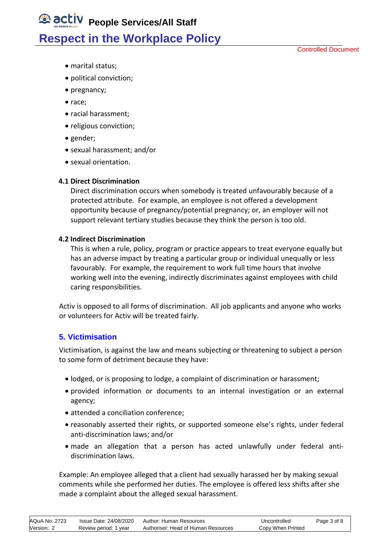Controlled Document

- marital status;
- political conviction;
- pregnancy;
- race;
- racial harassment;
- religious conviction;
- gender;
- sexual harassment; and/or
- sexual orientation.

#### <span id="page-2-0"></span> **4.1 Direct Discrimination**

Direct discrimination occurs when somebody is treated unfavourably because of a protected attribute. For example, an employee is not offered a development opportunity because of pregnancy/potential pregnancy; or, an employer will not support relevant tertiary studies because they think the person is too old.

#### <span id="page-2-1"></span> **4.2 Indirect Discrimination**

This is when a rule, policy, program or practice appears to treat everyone equally but has an adverse impact by treating a particular group or individual unequally or less favourably. For example, the requirement to work full time hours that involve working well into the evening, indirectly discriminates against employees with child caring responsibilities.

Activ is opposed to all forms of discrimination. All job applicants and anyone who works or volunteers for Activ will be treated fairly.

### <span id="page-2-2"></span>**5. Victimisation**

Victimisation, is against the law and means subjecting or threatening to subject a person to some form of detriment because they have:

- lodged, or is proposing to lodge, a complaint of discrimination or harassment;
- provided information or documents to an internal investigation or an external agency;
- attended a conciliation conference;
- reasonably asserted their rights, or supported someone else's rights, under federal anti-discrimination laws; and/or
- made an allegation that a person has acted unlawfully under federal antidiscrimination laws.

Example: An employee alleged that a client had sexually harassed her by making sexual comments while she performed her duties. The employee is offered less shifts after she made a complaint about the alleged sexual harassment.

| AQuA No: 2723 | Issue Date: 24/08/2020 | Author: Human Resources             | Uncontrolled      | Page 3 of 8 |
|---------------|------------------------|-------------------------------------|-------------------|-------------|
| Version: 2    | Review period: 1 year  | Authoriser: Head of Human Resources | Copy When Printed |             |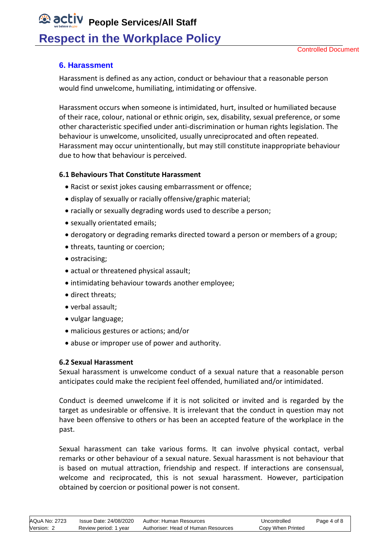## <span id="page-3-0"></span>**6. Harassment**

Harassment is defined as any action, conduct or behaviour that a reasonable person would find unwelcome, humiliating, intimidating or offensive.

Harassment occurs when someone is intimidated, hurt, insulted or humiliated because of their race, colour, national or ethnic origin, sex, disability, sexual preference, or some other characteristic specified under anti-discrimination or human rights legislation. The behaviour is unwelcome, unsolicited, usually unreciprocated and often repeated. Harassment may occur unintentionally, but may still constitute inappropriate behaviour due to how that behaviour is perceived.

### <span id="page-3-1"></span>**6.1 Behaviours That Constitute Harassment**

- Racist or sexist jokes causing embarrassment or offence;
- display of sexually or racially offensive/graphic material;
- racially or sexually degrading words used to describe a person;
- sexually orientated emails;
- derogatory or degrading remarks directed toward a person or members of a group;
- threats, taunting or coercion;
- ostracising;
- actual or threatened physical assault;
- intimidating behaviour towards another employee;
- direct threats:
- verbal assault;
- vulgar language;
- malicious gestures or actions; and/or
- abuse or improper use of power and authority.

### <span id="page-3-2"></span>**6.2 Sexual Harassment**

Sexual harassment is unwelcome conduct of a sexual nature that a reasonable person anticipates could make the recipient feel offended, humiliated and/or intimidated.

Conduct is deemed unwelcome if it is not solicited or invited and is regarded by the target as undesirable or offensive. It is irrelevant that the conduct in question may not have been offensive to others or has been an accepted feature of the workplace in the past.

Sexual harassment can take various forms. It can involve physical contact, verbal remarks or other behaviour of a sexual nature. Sexual harassment is not behaviour that is based on mutual attraction, friendship and respect. If interactions are consensual, welcome and reciprocated, this is not sexual harassment. However, participation obtained by coercion or positional power is not consent.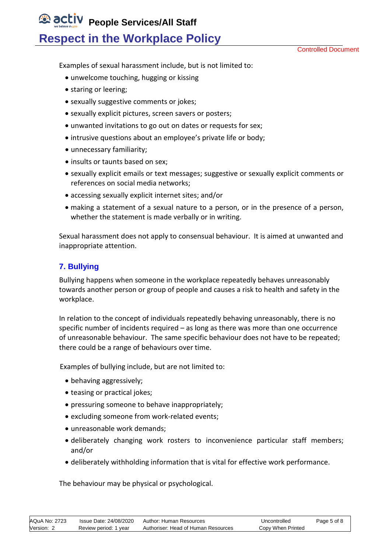Controlled Document

Examples of sexual harassment include, but is not limited to:

- unwelcome touching, hugging or kissing
- staring or leering;
- sexually suggestive comments or jokes;
- sexually explicit pictures, screen savers or posters;
- unwanted invitations to go out on dates or requests for sex;
- intrusive questions about an employee's private life or body;
- unnecessary familiarity;
- insults or taunts based on sex;
- sexually explicit emails or text messages; suggestive or sexually explicit comments or references on social media networks;
- accessing sexually explicit internet sites; and/or
- making a statement of a sexual nature to a person, or in the presence of a person, whether the statement is made verbally or in writing.

Sexual harassment does not apply to consensual behaviour. It is aimed at unwanted and inappropriate attention.

## <span id="page-4-0"></span>**7. Bullying**

Bullying happens when someone in the workplace repeatedly behaves unreasonably towards another person or group of people and causes a risk to health and safety in the workplace.

In relation to the concept of individuals repeatedly behaving unreasonably, there is no specific number of incidents required – as long as there was more than one occurrence of unreasonable behaviour. The same specific behaviour does not have to be repeated; there could be a range of behaviours over time.

Examples of bullying include, but are not limited to:

- behaving aggressively;
- teasing or practical jokes:
- pressuring someone to behave inappropriately;
- excluding someone from work-related events;
- unreasonable work demands;
- deliberately changing work rosters to inconvenience particular staff members; and/or
- deliberately withholding information that is vital for effective work performance.

The behaviour may be physical or psychological.

| AQuA No: 2723 | Issue Date: 24/08/2020 | Author: Human Resources             | Uncontrolled      | Page 5 of 8 |
|---------------|------------------------|-------------------------------------|-------------------|-------------|
| Version: 2    | Review period: 1 year  | Authoriser: Head of Human Resources | Copy When Printed |             |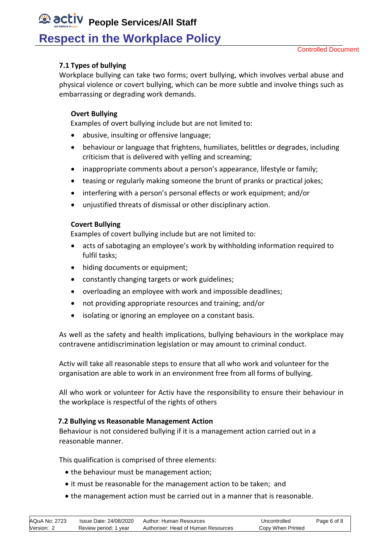## <span id="page-5-0"></span>**7.1 Types of bullying**

Workplace bullying can take two forms; overt bullying, which involves verbal abuse and physical violence or covert bullying, which can be more subtle and involve things such as embarrassing or degrading work demands.

### **Overt Bullying**

Examples of overt bullying include but are not limited to:

- abusive, insulting or offensive language;
- behaviour or language that frightens, humiliates, belittles or degrades, including criticism that is delivered with yelling and screaming;
- inappropriate comments about a person's appearance, lifestyle or family;
- teasing or regularly making someone the brunt of pranks or practical jokes;
- interfering with a person's personal effects or work equipment; and/or
- unjustified threats of dismissal or other disciplinary action.

#### **Covert Bullying**

Examples of covert bullying include but are not limited to:

- acts of sabotaging an employee's work by withholding information required to fulfil tasks;
- hiding documents or equipment;
- constantly changing targets or work guidelines;
- overloading an employee with work and impossible deadlines;
- not providing appropriate resources and training; and/or
- isolating or ignoring an employee on a constant basis.

As well as the safety and health implications, bullying behaviours in the workplace may contravene antidiscrimination legislation or may amount to criminal conduct.

Activ will take all reasonable steps to ensure that all who work and volunteer for the organisation are able to work in an environment free from all forms of bullying.

All who work or volunteer for Activ have the responsibility to ensure their behaviour in the workplace is respectful of the rights of others

### <span id="page-5-1"></span> **7.2 Bullying vs Reasonable Management Action**

Behaviour is not considered bullying if it is a management action carried out in a reasonable manner.

This qualification is comprised of three elements:

- the behaviour must be management action;
- it must be reasonable for the management action to be taken; and
- the management action must be carried out in a manner that is reasonable.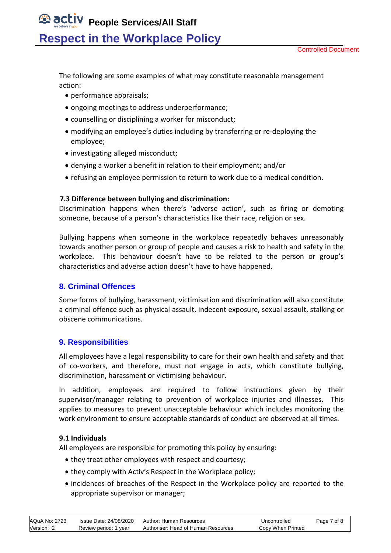Controlled Document

The following are some examples of what may constitute reasonable management action:

- performance appraisals;
- ongoing meetings to address underperformance;
- counselling or disciplining a worker for misconduct;
- modifying an employee's duties including by transferring or re-deploying the employee;
- investigating alleged misconduct;
- denying a worker a benefit in relation to their employment; and/or
- refusing an employee permission to return to work due to a medical condition.

### <span id="page-6-0"></span> **7.3 Difference between bullying and discrimination:**

Discrimination happens when there's 'adverse action', such as firing or demoting someone, because of a person's characteristics like their race, religion or sex.

Bullying happens when someone in the workplace repeatedly behaves unreasonably towards another person or group of people and causes a risk to health and safety in the workplace. This behaviour doesn't have to be related to the person or group's characteristics and adverse action doesn't have to have happened.

## <span id="page-6-1"></span>**8. Criminal Offences**

Some forms of bullying, harassment, victimisation and discrimination will also constitute a criminal offence such as physical assault, indecent exposure, sexual assault, stalking or obscene communications.

## <span id="page-6-2"></span>**9. Responsibilities**

All employees have a legal responsibility to care for their own health and safety and that of co-workers, and therefore, must not engage in acts, which constitute bullying, discrimination, harassment or victimising behaviour.

In addition, employees are required to follow instructions given by their supervisor/manager relating to prevention of workplace injuries and illnesses. This applies to measures to prevent unacceptable behaviour which includes monitoring the work environment to ensure acceptable standards of conduct are observed at all times.

### <span id="page-6-3"></span>**9.1 Individuals**

All employees are responsible for promoting this policy by ensuring:

- they treat other employees with respect and courtesy;
- they comply with Activ's Respect in the Workplace policy;
- incidences of breaches of the Respect in the Workplace policy are reported to the appropriate supervisor or manager;